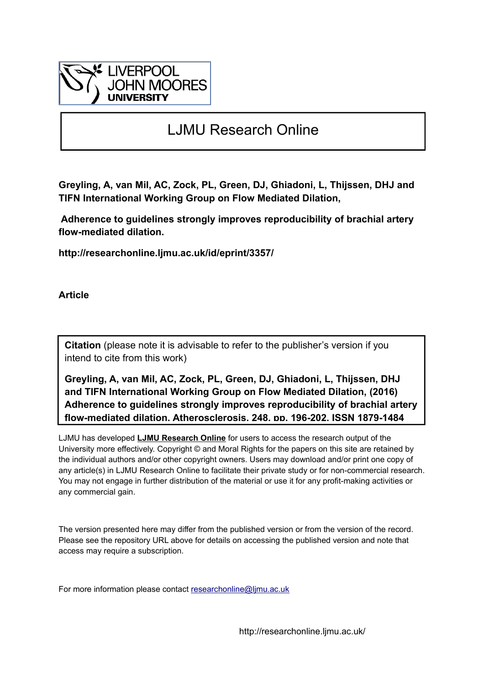

# LJMU Research Online

**Greyling, A, van Mil, AC, Zock, PL, Green, DJ, Ghiadoni, L, Thijssen, DHJ and TIFN International Working Group on Flow Mediated Dilation,** 

 **Adherence to guidelines strongly improves reproducibility of brachial artery flow-mediated dilation.**

**http://researchonline.ljmu.ac.uk/id/eprint/3357/**

**Article**

**Citation** (please note it is advisable to refer to the publisher's version if you intend to cite from this work)

**Greyling, A, van Mil, AC, Zock, PL, Green, DJ, Ghiadoni, L, Thijssen, DHJ and TIFN International Working Group on Flow Mediated Dilation, (2016) Adherence to guidelines strongly improves reproducibility of brachial artery flow-mediated dilation. Atherosclerosis, 248. pp. 196-202. ISSN 1879-1484** 

LJMU has developed **[LJMU Research Online](http://researchonline.ljmu.ac.uk/)** for users to access the research output of the University more effectively. Copyright © and Moral Rights for the papers on this site are retained by the individual authors and/or other copyright owners. Users may download and/or print one copy of any article(s) in LJMU Research Online to facilitate their private study or for non-commercial research. You may not engage in further distribution of the material or use it for any profit-making activities or any commercial gain.

The version presented here may differ from the published version or from the version of the record. Please see the repository URL above for details on accessing the published version and note that access may require a subscription.

For more information please contact researchonline@limu.ac.uk

http://researchonline.ljmu.ac.uk/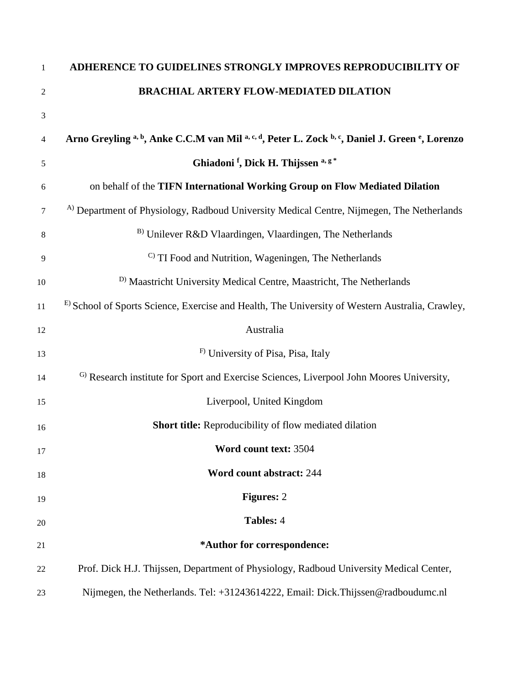| 1              | ADHERENCE TO GUIDELINES STRONGLY IMPROVES REPRODUCIBILITY OF                                         |
|----------------|------------------------------------------------------------------------------------------------------|
| $\overline{2}$ | <b>BRACHIAL ARTERY FLOW-MEDIATED DILATION</b>                                                        |
| $\mathfrak{Z}$ |                                                                                                      |
| $\overline{4}$ | Arno Greyling a, b, Anke C.C.M van Mil a, c, d, Peter L. Zock b, c, Daniel J. Green e, Lorenzo       |
| 5              | Ghiadoni <sup>f</sup> , Dick H. Thijssen <sup>a, g*</sup>                                            |
| 6              | on behalf of the TIFN International Working Group on Flow Mediated Dilation                          |
| 7              | <sup>A)</sup> Department of Physiology, Radboud University Medical Centre, Nijmegen, The Netherlands |
| 8              | $B$ ) Unilever R&D Vlaardingen, Vlaardingen, The Netherlands                                         |
| 9              | <sup>C)</sup> TI Food and Nutrition, Wageningen, The Netherlands                                     |
| 10             | <sup>D)</sup> Maastricht University Medical Centre, Maastricht, The Netherlands                      |
| 11             | E) School of Sports Science, Exercise and Health, The University of Western Australia, Crawley,      |
| 12             | Australia                                                                                            |
| 13             | F) University of Pisa, Pisa, Italy                                                                   |
| 14             | <sup>G)</sup> Research institute for Sport and Exercise Sciences, Liverpool John Moores University,  |
| 15             | Liverpool, United Kingdom                                                                            |
| 16             | <b>Short title:</b> Reproducibility of flow mediated dilation                                        |
| 17             | Word count text: 3504                                                                                |
| 18             | Word count abstract: 244                                                                             |
| 19             | <b>Figures: 2</b>                                                                                    |
| 20             | Tables: 4                                                                                            |
| 21             | *Author for correspondence:                                                                          |
| 22             | Prof. Dick H.J. Thijssen, Department of Physiology, Radboud University Medical Center,               |
| 23             | Nijmegen, the Netherlands. Tel: +31243614222, Email: Dick.Thijssen@radboudumc.nl                     |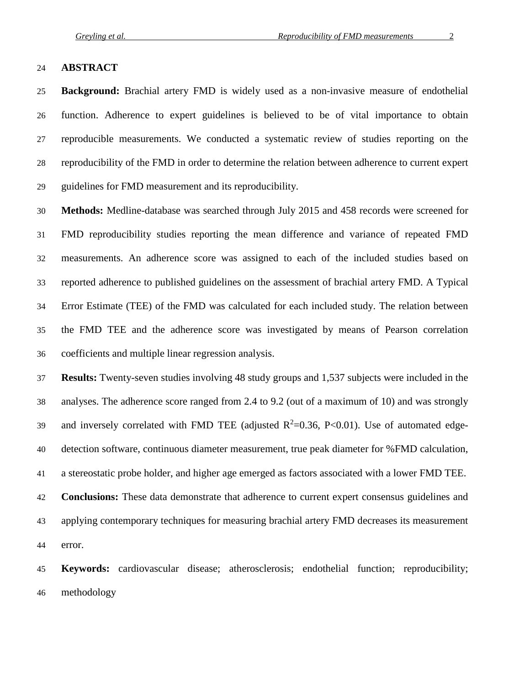#### **ABSTRACT**

 **Background:** Brachial artery FMD is widely used as a non-invasive measure of endothelial function. Adherence to expert guidelines is believed to be of vital importance to obtain reproducible measurements. We conducted a systematic review of studies reporting on the reproducibility of the FMD in order to determine the relation between adherence to current expert guidelines for FMD measurement and its reproducibility.

 **Methods:** Medline-database was searched through July 2015 and 458 records were screened for FMD reproducibility studies reporting the mean difference and variance of repeated FMD measurements. An adherence score was assigned to each of the included studies based on reported adherence to published guidelines on the assessment of brachial artery FMD. A Typical Error Estimate (TEE) of the FMD was calculated for each included study. The relation between the FMD TEE and the adherence score was investigated by means of Pearson correlation coefficients and multiple linear regression analysis.

 **Results:** Twenty-seven studies involving 48 study groups and 1,537 subjects were included in the analyses. The adherence score ranged from 2.4 to 9.2 (out of a maximum of 10) and was strongly 39 and inversely correlated with FMD TEE (adjusted  $R^2=0.36$ , P<0.01). Use of automated edge- detection software, continuous diameter measurement, true peak diameter for %FMD calculation, a stereostatic probe holder, and higher age emerged as factors associated with a lower FMD TEE. **Conclusions:** These data demonstrate that adherence to current expert consensus guidelines and applying contemporary techniques for measuring brachial artery FMD decreases its measurement error.

 **Keywords:** cardiovascular disease; atherosclerosis; endothelial function; reproducibility; methodology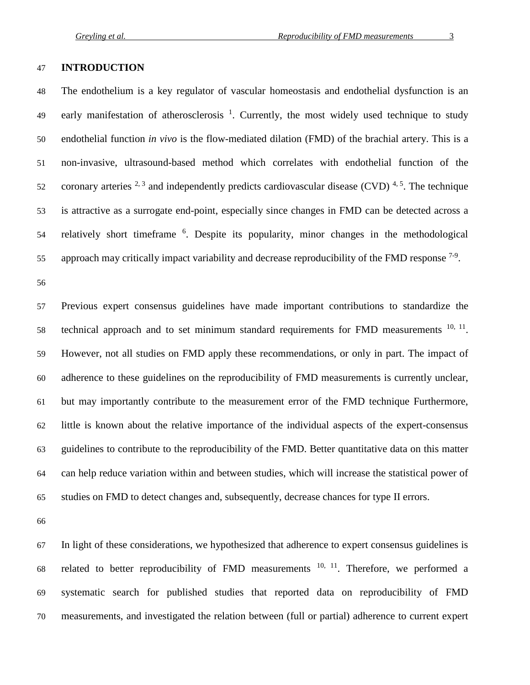#### **INTRODUCTION**

 The endothelium is a key regulator of vascular homeostasis and endothelial dysfunction is an 49 early manifestation of atherosclerosis  $^1$ . Currently, the most widely used technique to study endothelial function *in vivo* is the flow-mediated dilation (FMD) of the brachial artery. This is a non-invasive, ultrasound-based method which correlates with endothelial function of the 52 coronary arteries  $2<sup>3</sup>$  and independently predicts cardiovascular disease (CVD)  $4<sup>5</sup>$ . The technique is attractive as a surrogate end-point, especially since changes in FMD can be detected across a 54 relatively short timeframe <sup>6</sup>. Despite its popularity, minor changes in the methodological 55 approach may critically impact variability and decrease reproducibility of the FMD response  $7-9$ .

 Previous expert consensus guidelines have made important contributions to standardize the technical approach and to set minimum standard requirements for FMD measurements ,  $11$ . However, not all studies on FMD apply these recommendations, or only in part. The impact of adherence to these guidelines on the reproducibility of FMD measurements is currently unclear, but may importantly contribute to the measurement error of the FMD technique Furthermore, little is known about the relative importance of the individual aspects of the expert-consensus guidelines to contribute to the reproducibility of the FMD. Better quantitative data on this matter can help reduce variation within and between studies, which will increase the statistical power of studies on FMD to detect changes and, subsequently, decrease chances for type II errors.

 In light of these considerations, we hypothesized that adherence to expert consensus guidelines is 68 related to better reproducibility of FMD measurements  $10, 11$ . Therefore, we performed a systematic search for published studies that reported data on reproducibility of FMD measurements, and investigated the relation between (full or partial) adherence to current expert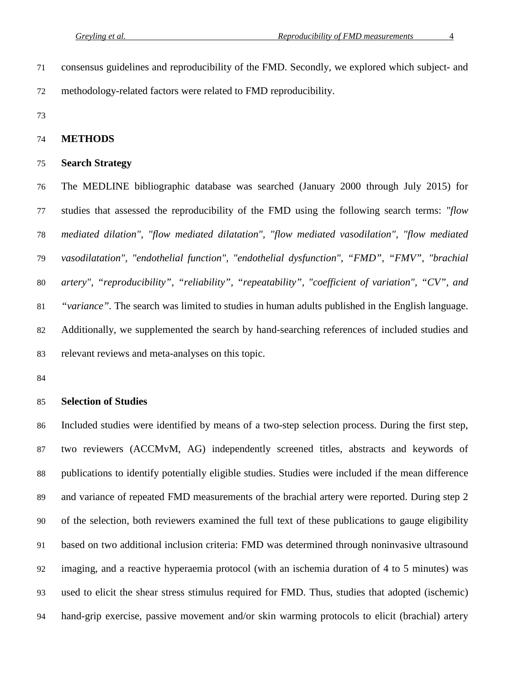consensus guidelines and reproducibility of the FMD. Secondly, we explored which subject- and methodology-related factors were related to FMD reproducibility.

#### **METHODS**

#### **Search Strategy**

 The MEDLINE bibliographic database was searched (January 2000 through July 2015) for studies that assessed the reproducibility of the FMD using the following search terms: *"flow mediated dilation", "flow mediated dilatation", "flow mediated vasodilation", "flow mediated vasodilatation", "endothelial function", "endothelial dysfunction", "FMD", "FMV", "brachial artery", "reproducibility", "reliability", "repeatability", "coefficient of variation", "CV", and "variance".* The search was limited to studies in human adults published in the English language. Additionally, we supplemented the search by hand-searching references of included studies and relevant reviews and meta-analyses on this topic.

# **Selection of Studies**

 Included studies were identified by means of a two-step selection process. During the first step, two reviewers (ACCMvM, AG) independently screened titles, abstracts and keywords of publications to identify potentially eligible studies. Studies were included if the mean difference and variance of repeated FMD measurements of the brachial artery were reported. During step 2 of the selection, both reviewers examined the full text of these publications to gauge eligibility based on two additional inclusion criteria: FMD was determined through noninvasive ultrasound imaging, and a reactive hyperaemia protocol (with an ischemia duration of 4 to 5 minutes) was used to elicit the shear stress stimulus required for FMD. Thus, studies that adopted (ischemic) hand-grip exercise, passive movement and/or skin warming protocols to elicit (brachial) artery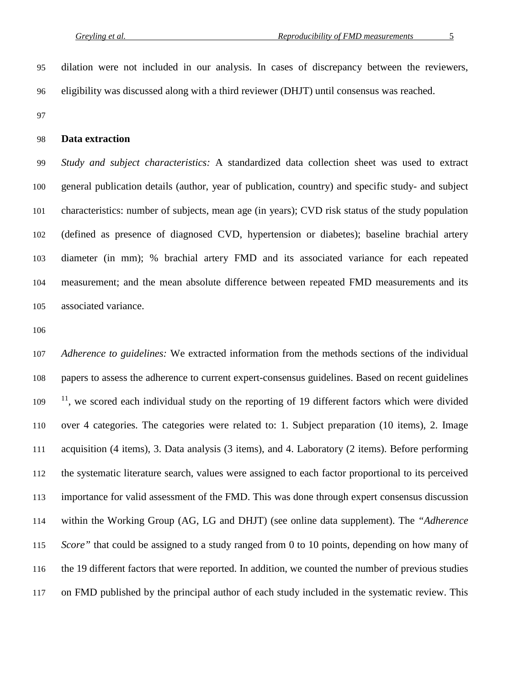dilation were not included in our analysis. In cases of discrepancy between the reviewers, eligibility was discussed along with a third reviewer (DHJT) until consensus was reached.

#### **Data extraction**

 *Study and subject characteristics:* A standardized data collection sheet was used to extract general publication details (author, year of publication, country) and specific study- and subject characteristics: number of subjects, mean age (in years); CVD risk status of the study population (defined as presence of diagnosed CVD, hypertension or diabetes); baseline brachial artery diameter (in mm); % brachial artery FMD and its associated variance for each repeated measurement; and the mean absolute difference between repeated FMD measurements and its associated variance.

 *Adherence to guidelines:* We extracted information from the methods sections of the individual papers to assess the adherence to current expert-consensus guidelines. Based on recent guidelines  $11$ , we scored each individual study on the reporting of 19 different factors which were divided over 4 categories. The categories were related to: 1. Subject preparation (10 items), 2. Image acquisition (4 items), 3. Data analysis (3 items), and 4. Laboratory (2 items). Before performing the systematic literature search, values were assigned to each factor proportional to its perceived importance for valid assessment of the FMD. This was done through expert consensus discussion within the Working Group (AG, LG and DHJT) (see online data supplement). The *"Adherence Score*" that could be assigned to a study ranged from 0 to 10 points, depending on how many of the 19 different factors that were reported. In addition, we counted the number of previous studies on FMD published by the principal author of each study included in the systematic review. This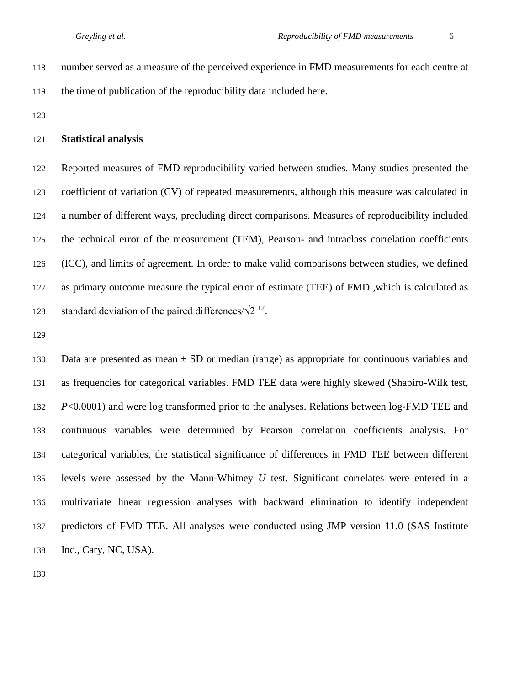number served as a measure of the perceived experience in FMD measurements for each centre at the time of publication of the reproducibility data included here.

#### **Statistical analysis**

 Reported measures of FMD reproducibility varied between studies. Many studies presented the 123 coefficient of variation (CV) of repeated measurements, although this measure was calculated in a number of different ways, precluding direct comparisons. Measures of reproducibility included the technical error of the measurement (TEM), Pearson- and intraclass correlation coefficients (ICC), and limits of agreement. In order to make valid comparisons between studies, we defined as primary outcome measure the typical error of estimate (TEE) of FMD ,which is calculated as standard deviation of the paired differences/ $\sqrt{2}^{12}$ .

130 Data are presented as mean  $\pm$  SD or median (range) as appropriate for continuous variables and as frequencies for categorical variables. FMD TEE data were highly skewed (Shapiro-Wilk test, *P*<0.0001) and were log transformed prior to the analyses. Relations between log-FMD TEE and continuous variables were determined by Pearson correlation coefficients analysis. For categorical variables, the statistical significance of differences in FMD TEE between different levels were assessed by the Mann-Whitney *U* test. Significant correlates were entered in a multivariate linear regression analyses with backward elimination to identify independent predictors of FMD TEE. All analyses were conducted using JMP version 11.0 (SAS Institute Inc., Cary, NC, USA).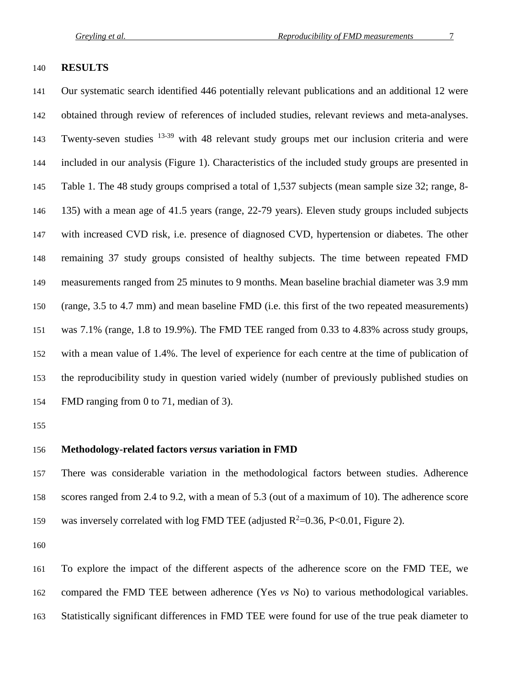#### **RESULTS**

 Our systematic search identified 446 potentially relevant publications and an additional 12 were obtained through review of references of included studies, relevant reviews and meta-analyses. 143 Twenty-seven studies  $13-39$  with 48 relevant study groups met our inclusion criteria and were included in our analysis (Figure 1). Characteristics of the included study groups are presented in Table 1. The 48 study groups comprised a total of 1,537 subjects (mean sample size 32; range, 8- 135) with a mean age of 41.5 years (range, 22-79 years). Eleven study groups included subjects with increased CVD risk, i.e. presence of diagnosed CVD, hypertension or diabetes. The other remaining 37 study groups consisted of healthy subjects. The time between repeated FMD measurements ranged from 25 minutes to 9 months. Mean baseline brachial diameter was 3.9 mm (range, 3.5 to 4.7 mm) and mean baseline FMD (i.e. this first of the two repeated measurements) was 7.1% (range, 1.8 to 19.9%). The FMD TEE ranged from 0.33 to 4.83% across study groups, with a mean value of 1.4%. The level of experience for each centre at the time of publication of the reproducibility study in question varied widely (number of previously published studies on FMD ranging from 0 to 71, median of 3).

### **Methodology-related factors** *versus* **variation in FMD**

 There was considerable variation in the methodological factors between studies. Adherence scores ranged from 2.4 to 9.2, with a mean of 5.3 (out of a maximum of 10). The adherence score 159 was inversely correlated with log FMD TEE (adjusted  $R^2 = 0.36$ , P<0.01, Figure 2).

 To explore the impact of the different aspects of the adherence score on the FMD TEE, we compared the FMD TEE between adherence (Yes *vs* No) to various methodological variables. Statistically significant differences in FMD TEE were found for use of the true peak diameter to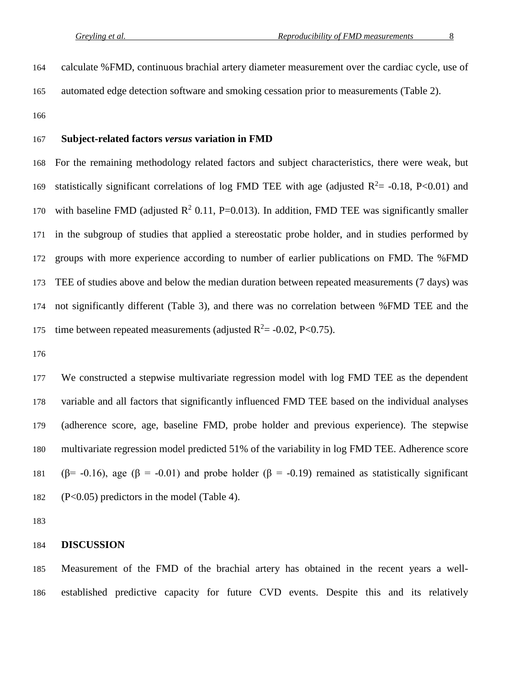calculate %FMD, continuous brachial artery diameter measurement over the cardiac cycle, use of automated edge detection software and smoking cessation prior to measurements (Table 2).

#### **Subject-related factors** *versus* **variation in FMD**

 For the remaining methodology related factors and subject characteristics, there were weak, but 169 statistically significant correlations of log FMD TEE with age (adjusted  $R^2 = -0.18$ , P<0.01) and 170 with baseline FMD (adjusted  $R^2$  0.11, P=0.013). In addition, FMD TEE was significantly smaller in the subgroup of studies that applied a stereostatic probe holder, and in studies performed by groups with more experience according to number of earlier publications on FMD. The %FMD TEE of studies above and below the median duration between repeated measurements (7 days) was not significantly different (Table 3), and there was no correlation between %FMD TEE and the 175 time between repeated measurements (adjusted  $R^2$  = -0.02, P<0.75).

 We constructed a stepwise multivariate regression model with log FMD TEE as the dependent variable and all factors that significantly influenced FMD TEE based on the individual analyses (adherence score, age, baseline FMD, probe holder and previous experience). The stepwise multivariate regression model predicted 51% of the variability in log FMD TEE. Adherence score 181 (β = -0.16), age (β = -0.01) and probe holder (β = -0.19) remained as statistically significant (P<0.05) predictors in the model (Table 4).

#### **DISCUSSION**

 Measurement of the FMD of the brachial artery has obtained in the recent years a well-established predictive capacity for future CVD events. Despite this and its relatively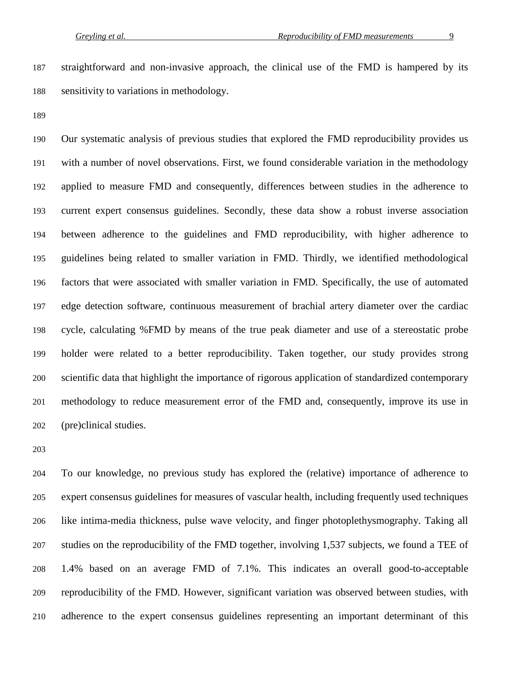straightforward and non-invasive approach, the clinical use of the FMD is hampered by its sensitivity to variations in methodology.

 Our systematic analysis of previous studies that explored the FMD reproducibility provides us with a number of novel observations. First, we found considerable variation in the methodology applied to measure FMD and consequently, differences between studies in the adherence to current expert consensus guidelines. Secondly, these data show a robust inverse association between adherence to the guidelines and FMD reproducibility, with higher adherence to guidelines being related to smaller variation in FMD. Thirdly, we identified methodological factors that were associated with smaller variation in FMD. Specifically, the use of automated edge detection software, continuous measurement of brachial artery diameter over the cardiac cycle, calculating %FMD by means of the true peak diameter and use of a stereostatic probe holder were related to a better reproducibility. Taken together, our study provides strong scientific data that highlight the importance of rigorous application of standardized contemporary methodology to reduce measurement error of the FMD and, consequently, improve its use in (pre)clinical studies.

 To our knowledge, no previous study has explored the (relative) importance of adherence to expert consensus guidelines for measures of vascular health, including frequently used techniques like intima-media thickness, pulse wave velocity, and finger photoplethysmography. Taking all studies on the reproducibility of the FMD together, involving 1,537 subjects, we found a TEE of 1.4% based on an average FMD of 7.1%. This indicates an overall good-to-acceptable reproducibility of the FMD. However, significant variation was observed between studies, with adherence to the expert consensus guidelines representing an important determinant of this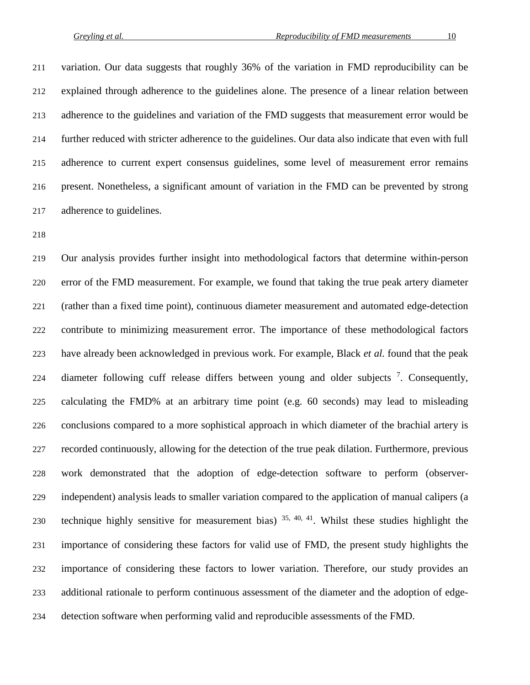variation. Our data suggests that roughly 36% of the variation in FMD reproducibility can be explained through adherence to the guidelines alone. The presence of a linear relation between adherence to the guidelines and variation of the FMD suggests that measurement error would be further reduced with stricter adherence to the guidelines. Our data also indicate that even with full adherence to current expert consensus guidelines, some level of measurement error remains present. Nonetheless, a significant amount of variation in the FMD can be prevented by strong adherence to guidelines.

 Our analysis provides further insight into methodological factors that determine within-person error of the FMD measurement. For example, we found that taking the true peak artery diameter (rather than a fixed time point), continuous diameter measurement and automated edge-detection contribute to minimizing measurement error. The importance of these methodological factors have already been acknowledged in previous work. For example, Black *et al.* found that the peak 224 diameter following cuff release differs between young and older subjects  $\frac{7}{2}$ . Consequently, calculating the FMD% at an arbitrary time point (e.g. 60 seconds) may lead to misleading conclusions compared to a more sophistical approach in which diameter of the brachial artery is recorded continuously, allowing for the detection of the true peak dilation. Furthermore, previous work demonstrated that the adoption of edge-detection software to perform (observer- independent) analysis leads to smaller variation compared to the application of manual calipers (a 230 technique highly sensitive for measurement bias)  $35, 40, 41$ . Whilst these studies highlight the importance of considering these factors for valid use of FMD, the present study highlights the importance of considering these factors to lower variation. Therefore, our study provides an additional rationale to perform continuous assessment of the diameter and the adoption of edge-detection software when performing valid and reproducible assessments of the FMD.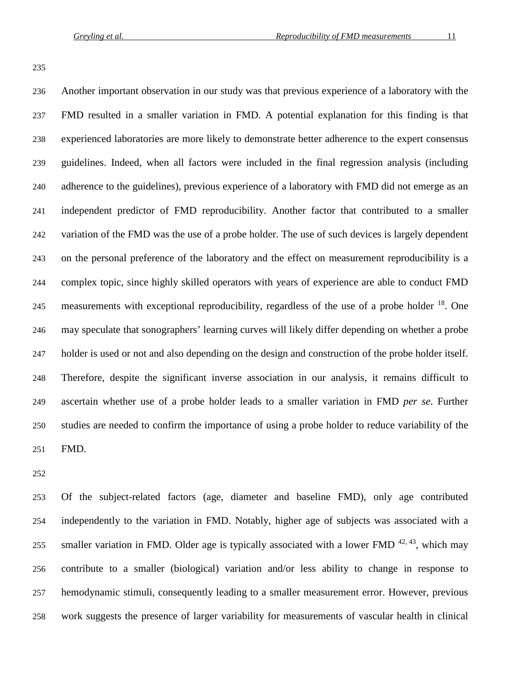Another important observation in our study was that previous experience of a laboratory with the FMD resulted in a smaller variation in FMD. A potential explanation for this finding is that experienced laboratories are more likely to demonstrate better adherence to the expert consensus guidelines. Indeed, when all factors were included in the final regression analysis (including adherence to the guidelines), previous experience of a laboratory with FMD did not emerge as an independent predictor of FMD reproducibility. Another factor that contributed to a smaller variation of the FMD was the use of a probe holder. The use of such devices is largely dependent on the personal preference of the laboratory and the effect on measurement reproducibility is a complex topic, since highly skilled operators with years of experience are able to conduct FMD 245 measurements with exceptional reproducibility, regardless of the use of a probe holder  $^{18}$ . One may speculate that sonographers' learning curves will likely differ depending on whether a probe holder is used or not and also depending on the design and construction of the probe holder itself. Therefore, despite the significant inverse association in our analysis, it remains difficult to ascertain whether use of a probe holder leads to a smaller variation in FMD *per se*. Further studies are needed to confirm the importance of using a probe holder to reduce variability of the FMD.

 Of the subject-related factors (age, diameter and baseline FMD), only age contributed independently to the variation in FMD. Notably, higher age of subjects was associated with a 255 smaller variation in FMD. Older age is typically associated with a lower FMD  $42, 43$ , which may contribute to a smaller (biological) variation and/or less ability to change in response to hemodynamic stimuli, consequently leading to a smaller measurement error. However, previous work suggests the presence of larger variability for measurements of vascular health in clinical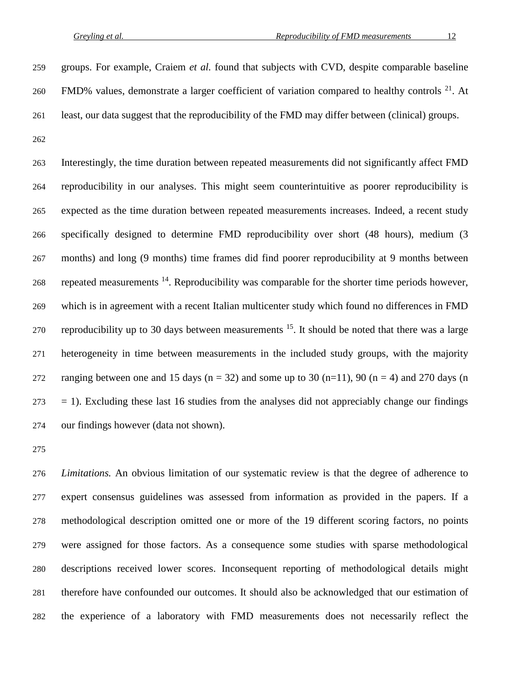groups. For example, Craiem *et al.* found that subjects with CVD, despite comparable baseline 260 FMD% values, demonstrate a larger coefficient of variation compared to healthy controls  $2^1$ . At least, our data suggest that the reproducibility of the FMD may differ between (clinical) groups.

 Interestingly, the time duration between repeated measurements did not significantly affect FMD reproducibility in our analyses. This might seem counterintuitive as poorer reproducibility is expected as the time duration between repeated measurements increases. Indeed, a recent study specifically designed to determine FMD reproducibility over short (48 hours), medium (3 months) and long (9 months) time frames did find poorer reproducibility at 9 months between 268 repeated measurements  $^{14}$ . Reproducibility was comparable for the shorter time periods however, which is in agreement with a recent Italian multicenter study which found no differences in FMD reproducibility up to 30 days between measurements  $^{15}$ . It should be noted that there was a large heterogeneity in time between measurements in the included study groups, with the majority 272 ranging between one and 15 days ( $n = 32$ ) and some up to 30 ( $n = 11$ ), 90 ( $n = 4$ ) and 270 days (n  $273 = 1$ ). Excluding these last 16 studies from the analyses did not appreciably change our findings our findings however (data not shown).

 *Limitations.* An obvious limitation of our systematic review is that the degree of adherence to expert consensus guidelines was assessed from information as provided in the papers. If a methodological description omitted one or more of the 19 different scoring factors, no points were assigned for those factors. As a consequence some studies with sparse methodological descriptions received lower scores. Inconsequent reporting of methodological details might therefore have confounded our outcomes. It should also be acknowledged that our estimation of the experience of a laboratory with FMD measurements does not necessarily reflect the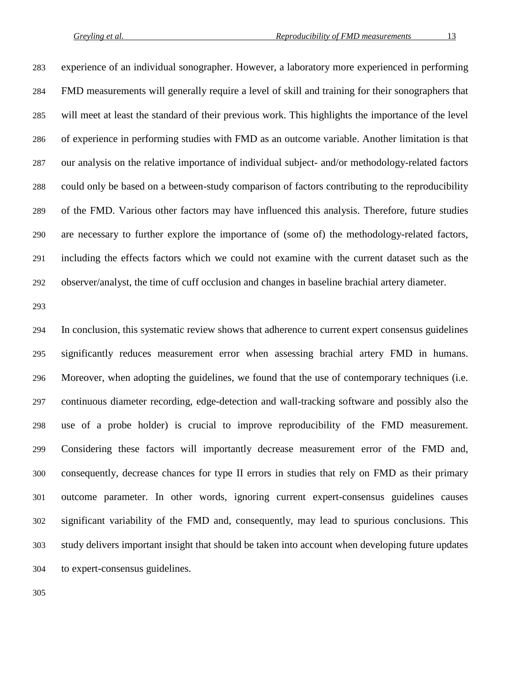experience of an individual sonographer. However, a laboratory more experienced in performing FMD measurements will generally require a level of skill and training for their sonographers that will meet at least the standard of their previous work. This highlights the importance of the level of experience in performing studies with FMD as an outcome variable. Another limitation is that our analysis on the relative importance of individual subject- and/or methodology-related factors could only be based on a between-study comparison of factors contributing to the reproducibility of the FMD. Various other factors may have influenced this analysis. Therefore, future studies are necessary to further explore the importance of (some of) the methodology-related factors, including the effects factors which we could not examine with the current dataset such as the observer/analyst, the time of cuff occlusion and changes in baseline brachial artery diameter.

 In conclusion, this systematic review shows that adherence to current expert consensus guidelines significantly reduces measurement error when assessing brachial artery FMD in humans. Moreover, when adopting the guidelines, we found that the use of contemporary techniques (i.e. continuous diameter recording, edge-detection and wall-tracking software and possibly also the use of a probe holder) is crucial to improve reproducibility of the FMD measurement. Considering these factors will importantly decrease measurement error of the FMD and, consequently, decrease chances for type II errors in studies that rely on FMD as their primary outcome parameter. In other words, ignoring current expert-consensus guidelines causes significant variability of the FMD and, consequently, may lead to spurious conclusions. This study delivers important insight that should be taken into account when developing future updates to expert-consensus guidelines.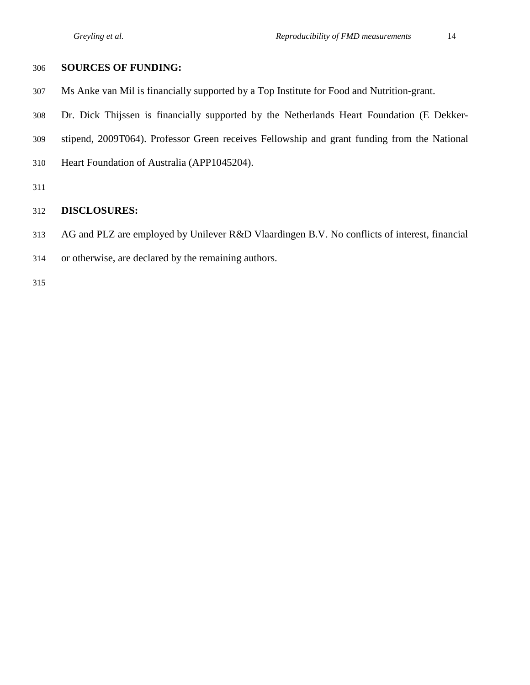# **SOURCES OF FUNDING:**

- Ms Anke van Mil is financially supported by a Top Institute for Food and Nutrition-grant.
- Dr. Dick Thijssen is financially supported by the Netherlands Heart Foundation (E Dekker-
- stipend, 2009T064). Professor Green receives Fellowship and grant funding from the National
- Heart Foundation of Australia (APP1045204).
- 

# **DISCLOSURES:**

- AG and PLZ are employed by Unilever R&D Vlaardingen B.V. No conflicts of interest, financial
- or otherwise, are declared by the remaining authors.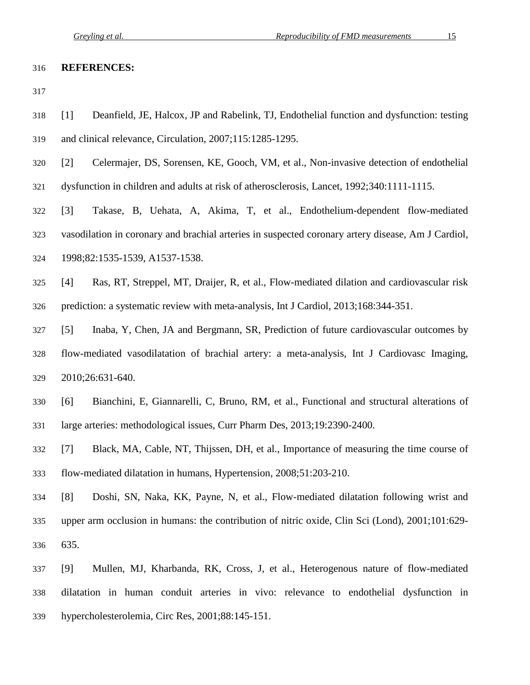#### **REFERENCES:**

- [1] Deanfield, JE, Halcox, JP and Rabelink, TJ, Endothelial function and dysfunction: testing and clinical relevance, Circulation, 2007;115:1285-1295.
- [2] Celermajer, DS, Sorensen, KE, Gooch, VM, et al., Non-invasive detection of endothelial
- dysfunction in children and adults at risk of atherosclerosis, Lancet, 1992;340:1111-1115.
- [3] Takase, B, Uehata, A, Akima, T, et al., Endothelium-dependent flow-mediated
- vasodilation in coronary and brachial arteries in suspected coronary artery disease, Am J Cardiol,
- 1998;82:1535-1539, A1537-1538.
- [4] Ras, RT, Streppel, MT, Draijer, R, et al., Flow-mediated dilation and cardiovascular risk prediction: a systematic review with meta-analysis, Int J Cardiol, 2013;168:344-351.
- [5] Inaba, Y, Chen, JA and Bergmann, SR, Prediction of future cardiovascular outcomes by flow-mediated vasodilatation of brachial artery: a meta-analysis, Int J Cardiovasc Imaging, 2010;26:631-640.
- [6] Bianchini, E, Giannarelli, C, Bruno, RM, et al., Functional and structural alterations of large arteries: methodological issues, Curr Pharm Des, 2013;19:2390-2400.
- [7] Black, MA, Cable, NT, Thijssen, DH, et al., Importance of measuring the time course of flow-mediated dilatation in humans, Hypertension, 2008;51:203-210.
- [8] Doshi, SN, Naka, KK, Payne, N, et al., Flow-mediated dilatation following wrist and upper arm occlusion in humans: the contribution of nitric oxide, Clin Sci (Lond), 2001;101:629- 635.
- [9] Mullen, MJ, Kharbanda, RK, Cross, J, et al., Heterogenous nature of flow-mediated dilatation in human conduit arteries in vivo: relevance to endothelial dysfunction in hypercholesterolemia, Circ Res, 2001;88:145-151.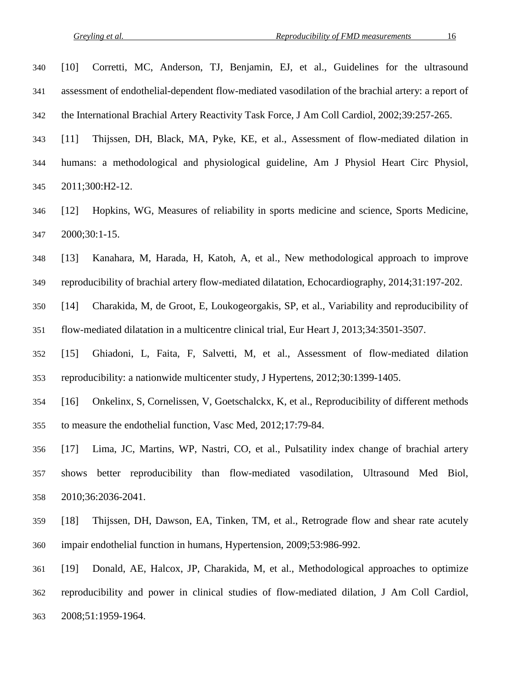| 340 | Corretti, MC, Anderson, TJ, Benjamin, EJ, et al., Guidelines for the ultrasound<br>$[10]$                   |
|-----|-------------------------------------------------------------------------------------------------------------|
| 341 | assessment of endothelial-dependent flow-mediated vasodilation of the brachial artery: a report of          |
| 342 | the International Brachial Artery Reactivity Task Force, J Am Coll Cardiol, 2002;39:257-265.                |
| 343 | Thijssen, DH, Black, MA, Pyke, KE, et al., Assessment of flow-mediated dilation in<br>[11]                  |
| 344 | humans: a methodological and physiological guideline, Am J Physiol Heart Circ Physiol,                      |
| 345 | 2011;300:H2-12.                                                                                             |
| 346 | Hopkins, WG, Measures of reliability in sports medicine and science, Sports Medicine,<br>$\lceil 12 \rceil$ |
| 347 | 2000;30:1-15.                                                                                               |
| 348 | Kanahara, M, Harada, H, Katoh, A, et al., New methodological approach to improve<br>$[13]$                  |
| 349 | reproducibility of brachial artery flow-mediated dilatation, Echocardiography, 2014;31:197-202.             |
| 350 | Charakida, M, de Groot, E, Loukogeorgakis, SP, et al., Variability and reproducibility of<br>$[14]$         |
| 351 | flow-mediated dilatation in a multicentre clinical trial, Eur Heart J, 2013;34:3501-3507.                   |
| 352 | Ghiadoni, L, Faita, F, Salvetti, M, et al., Assessment of flow-mediated dilation<br>$\lceil 15 \rceil$      |
| 353 | reproducibility: a nationwide multicenter study, J Hypertens, 2012;30:1399-1405.                            |
| 354 | Onkelinx, S, Cornelissen, V, Goetschalckx, K, et al., Reproducibility of different methods<br>$[16]$        |
| 355 | to measure the endothelial function, Vasc Med, 2012;17:79-84.                                               |
| 356 | Lima, JC, Martins, WP, Nastri, CO, et al., Pulsatility index change of brachial artery<br>$[17]$            |
| 357 | better reproducibility than flow-mediated vasodilation, Ultrasound Med Biol,<br>shows                       |
| 358 | 2010;36:2036-2041.                                                                                          |
| 359 | $[18]$<br>Thijssen, DH, Dawson, EA, Tinken, TM, et al., Retrograde flow and shear rate acutely              |
| 360 | impair endothelial function in humans, Hypertension, 2009;53:986-992.                                       |
| 361 | $[19]$<br>Donald, AE, Halcox, JP, Charakida, M, et al., Methodological approaches to optimize               |

 reproducibility and power in clinical studies of flow-mediated dilation, J Am Coll Cardiol, 2008;51:1959-1964.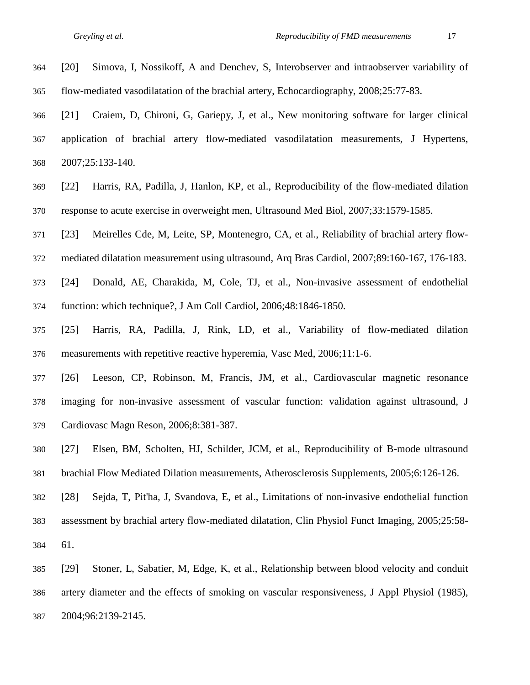- [20] Simova, I, Nossikoff, A and Denchev, S, Interobserver and intraobserver variability of flow-mediated vasodilatation of the brachial artery, Echocardiography, 2008;25:77-83. [21] Craiem, D, Chironi, G, Gariepy, J, et al., New monitoring software for larger clinical application of brachial artery flow-mediated vasodilatation measurements, J Hypertens, 2007;25:133-140.
- [22] Harris, RA, Padilla, J, Hanlon, KP, et al., Reproducibility of the flow-mediated dilation response to acute exercise in overweight men, Ultrasound Med Biol, 2007;33:1579-1585.
- [23] Meirelles Cde, M, Leite, SP, Montenegro, CA, et al., Reliability of brachial artery flow-
- mediated dilatation measurement using ultrasound, Arq Bras Cardiol, 2007;89:160-167, 176-183.
- [24] Donald, AE, Charakida, M, Cole, TJ, et al., Non-invasive assessment of endothelial function: which technique?, J Am Coll Cardiol, 2006;48:1846-1850.
- [25] Harris, RA, Padilla, J, Rink, LD, et al., Variability of flow-mediated dilation measurements with repetitive reactive hyperemia, Vasc Med, 2006;11:1-6.
- [26] Leeson, CP, Robinson, M, Francis, JM, et al., Cardiovascular magnetic resonance imaging for non-invasive assessment of vascular function: validation against ultrasound, J Cardiovasc Magn Reson, 2006;8:381-387.
- [27] Elsen, BM, Scholten, HJ, Schilder, JCM, et al., Reproducibility of B-mode ultrasound brachial Flow Mediated Dilation measurements, Atherosclerosis Supplements, 2005;6:126-126.
- [28] Sejda, T, Pit'ha, J, Svandova, E, et al., Limitations of non-invasive endothelial function assessment by brachial artery flow-mediated dilatation, Clin Physiol Funct Imaging, 2005;25:58- 61.
- [29] Stoner, L, Sabatier, M, Edge, K, et al., Relationship between blood velocity and conduit artery diameter and the effects of smoking on vascular responsiveness, J Appl Physiol (1985), 2004;96:2139-2145.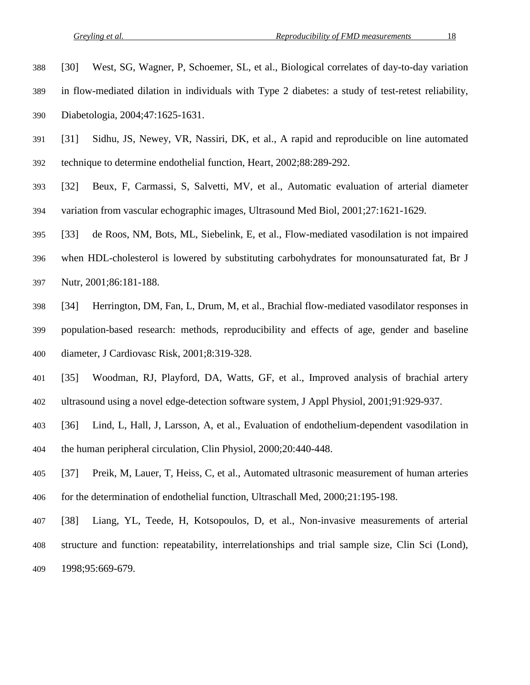- [30] West, SG, Wagner, P, Schoemer, SL, et al., Biological correlates of day-to-day variation
- in flow-mediated dilation in individuals with Type 2 diabetes: a study of test-retest reliability,
- Diabetologia, 2004;47:1625-1631.
- [31] Sidhu, JS, Newey, VR, Nassiri, DK, et al., A rapid and reproducible on line automated technique to determine endothelial function, Heart, 2002;88:289-292.
- [32] Beux, F, Carmassi, S, Salvetti, MV, et al., Automatic evaluation of arterial diameter variation from vascular echographic images, Ultrasound Med Biol, 2001;27:1621-1629.
- [33] de Roos, NM, Bots, ML, Siebelink, E, et al., Flow-mediated vasodilation is not impaired
- when HDL-cholesterol is lowered by substituting carbohydrates for monounsaturated fat, Br J Nutr, 2001;86:181-188.
- [34] Herrington, DM, Fan, L, Drum, M, et al., Brachial flow-mediated vasodilator responses in population-based research: methods, reproducibility and effects of age, gender and baseline diameter, J Cardiovasc Risk, 2001;8:319-328.
- [35] Woodman, RJ, Playford, DA, Watts, GF, et al., Improved analysis of brachial artery ultrasound using a novel edge-detection software system, J Appl Physiol, 2001;91:929-937.
- [36] Lind, L, Hall, J, Larsson, A, et al., Evaluation of endothelium-dependent vasodilation in the human peripheral circulation, Clin Physiol, 2000;20:440-448.
- [37] Preik, M, Lauer, T, Heiss, C, et al., Automated ultrasonic measurement of human arteries for the determination of endothelial function, Ultraschall Med, 2000;21:195-198.
- [38] Liang, YL, Teede, H, Kotsopoulos, D, et al., Non-invasive measurements of arterial structure and function: repeatability, interrelationships and trial sample size, Clin Sci (Lond), 1998;95:669-679.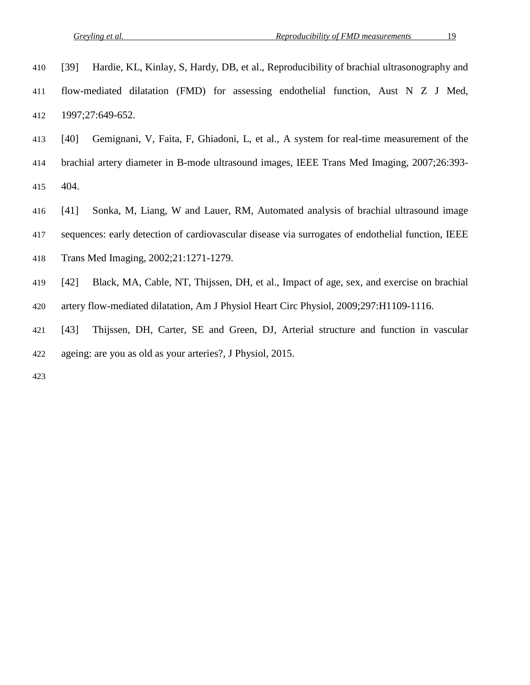|  |  |  |  |  |  |  |  | 410 [39] Hardie, KL, Kinlay, S, Hardy, DB, et al., Reproducibility of brachial ultrasonography and |
|--|--|--|--|--|--|--|--|----------------------------------------------------------------------------------------------------|
|--|--|--|--|--|--|--|--|----------------------------------------------------------------------------------------------------|

- flow-mediated dilatation (FMD) for assessing endothelial function, Aust N Z J Med, 1997;27:649-652.
- [40] Gemignani, V, Faita, F, Ghiadoni, L, et al., A system for real-time measurement of the
- brachial artery diameter in B-mode ultrasound images, IEEE Trans Med Imaging, 2007;26:393- 404.
- [41] Sonka, M, Liang, W and Lauer, RM, Automated analysis of brachial ultrasound image
- sequences: early detection of cardiovascular disease via surrogates of endothelial function, IEEE
- Trans Med Imaging, 2002;21:1271-1279.
- [42] Black, MA, Cable, NT, Thijssen, DH, et al., Impact of age, sex, and exercise on brachial artery flow-mediated dilatation, Am J Physiol Heart Circ Physiol, 2009;297:H1109-1116.
- [43] Thijssen, DH, Carter, SE and Green, DJ, Arterial structure and function in vascular ageing: are you as old as your arteries?, J Physiol, 2015.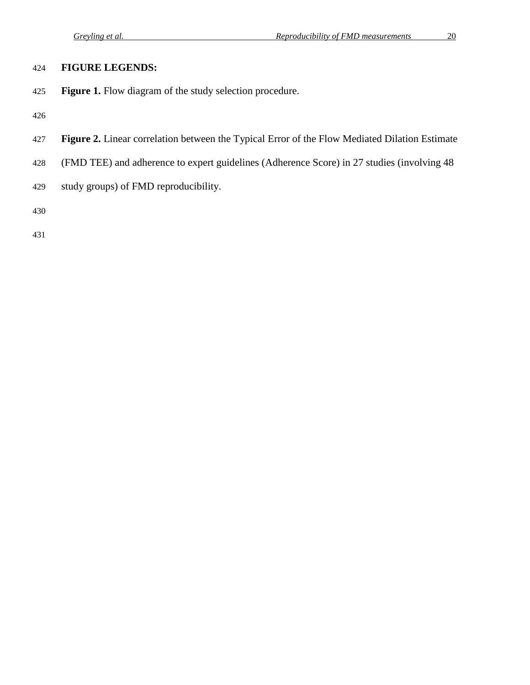# **FIGURE LEGENDS:**

**Figure 1.** Flow diagram of the study selection procedure.

- **Figure 2.** Linear correlation between the Typical Error of the Flow Mediated Dilation Estimate
- (FMD TEE) and adherence to expert guidelines (Adherence Score) in 27 studies (involving 48
- study groups) of FMD reproducibility.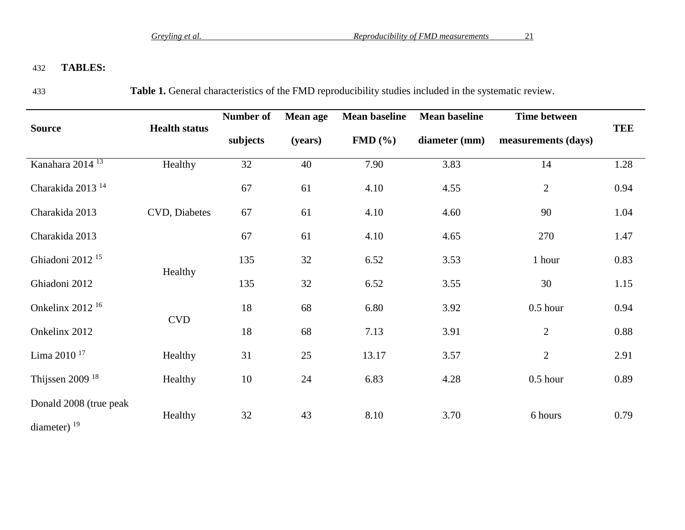# 432 **TABLES:**

433 **Table 1.** General characteristics of the FMD reproducibility studies included in the systematic review.

|                              |                      | Number of | <b>Mean age</b> | <b>Mean baseline</b>  | <b>Mean baseline</b> | <b>Time between</b> |            |
|------------------------------|----------------------|-----------|-----------------|-----------------------|----------------------|---------------------|------------|
| <b>Source</b>                | <b>Health status</b> | subjects  | (years)         | $FMD$ $(\frac{6}{6})$ | diameter (mm)        | measurements (days) | <b>TEE</b> |
| Kanahara 2014 <sup>13</sup>  | Healthy              | 32        | 40              | 7.90                  | 3.83                 | 14                  | 1.28       |
| Charakida 2013 <sup>14</sup> |                      | 67        | 61              | 4.10                  | 4.55                 | $\mathbf{2}$        | 0.94       |
| Charakida 2013               | CVD, Diabetes        | 67        | 61              | 4.10                  | 4.60                 | 90                  | 1.04       |
| Charakida 2013               |                      | 67        | 61              | 4.10                  | 4.65                 | 270                 | 1.47       |
| Ghiadoni 2012 <sup>15</sup>  | Healthy              | 135       | 32              | 6.52                  | 3.53                 | 1 hour              | 0.83       |
| Ghiadoni 2012                |                      | 135       | 32              | 6.52                  | 3.55                 | 30                  | 1.15       |
| Onkelinx 2012 <sup>16</sup>  | <b>CVD</b>           | 18        | 68              | 6.80                  | 3.92                 | $0.5$ hour          | 0.94       |
| Onkelinx 2012                |                      | 18        | 68              | 7.13                  | 3.91                 | $\overline{2}$      | 0.88       |
| Lima 2010 <sup>17</sup>      | Healthy              | 31        | 25              | 13.17                 | 3.57                 | $\mathbf{2}$        | 2.91       |
| Thijssen 2009 $18$           | Healthy              | 10        | 24              | 6.83                  | 4.28                 | $0.5$ hour          | 0.89       |
| Donald 2008 (true peak       | Healthy              | 32        | 43              | 8.10                  | 3.70                 | 6 hours             | 0.79       |
| diameter) $19$               |                      |           |                 |                       |                      |                     |            |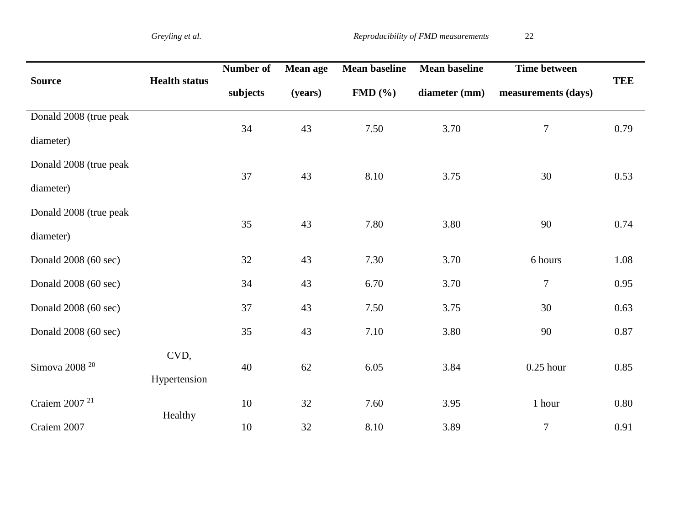|                           |                      | Number of | <b>Mean age</b> | <b>Mean baseline</b> | <b>Mean baseline</b> | <b>Time between</b> |            |
|---------------------------|----------------------|-----------|-----------------|----------------------|----------------------|---------------------|------------|
| <b>Source</b>             | <b>Health status</b> | subjects  | (years)         | FMD(%)               | diameter (mm)        | measurements (days) | <b>TEE</b> |
| Donald 2008 (true peak    |                      | 34        | 43              | 7.50                 | 3.70                 | $\boldsymbol{7}$    | 0.79       |
| diameter)                 |                      |           |                 |                      |                      |                     |            |
| Donald 2008 (true peak    |                      | 37        | 43              | 8.10                 | 3.75                 | 30                  | 0.53       |
| diameter)                 |                      |           |                 |                      |                      |                     |            |
| Donald 2008 (true peak    |                      | 35        | 43              | 7.80                 | 3.80                 | 90                  | 0.74       |
| diameter)                 |                      |           |                 |                      |                      |                     |            |
| Donald 2008 (60 sec)      |                      | 32        | 43              | 7.30                 | 3.70                 | 6 hours             | 1.08       |
| Donald 2008 (60 sec)      |                      | 34        | 43              | 6.70                 | 3.70                 | $\overline{7}$      | 0.95       |
| Donald 2008 (60 sec)      |                      | 37        | 43              | 7.50                 | 3.75                 | 30                  | 0.63       |
| Donald 2008 (60 sec)      |                      | 35        | 43              | 7.10                 | 3.80                 | 90                  | 0.87       |
|                           | CVD,                 |           |                 |                      |                      |                     |            |
| Simova 2008 <sup>20</sup> | Hypertension         | 40        | 62              | 6.05                 | 3.84                 | $0.25$ hour         | 0.85       |
| Craiem 2007 <sup>21</sup> |                      | 10        | 32              | 7.60                 | 3.95                 | 1 hour              | 0.80       |
| Craiem 2007               | Healthy              | 10        | 32              | 8.10                 | 3.89                 | $\tau$              | 0.91       |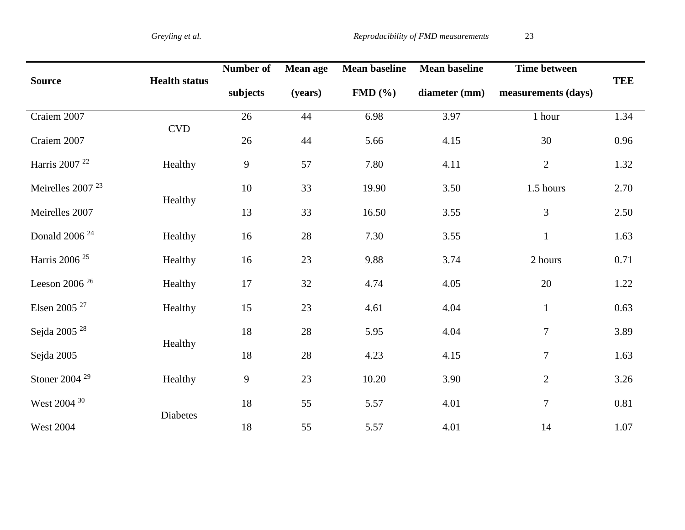|                              |                             | Number of    | <b>Mean age</b> | <b>Mean baseline</b> | <b>Mean baseline</b> | <b>Time between</b> |            |
|------------------------------|-----------------------------|--------------|-----------------|----------------------|----------------------|---------------------|------------|
| <b>Source</b>                | <b>Health status</b>        | subjects     | (years)         | FMD(%)               | diameter (mm)        | measurements (days) | <b>TEE</b> |
| Craiem 2007                  |                             | 26           | 44              | 6.98                 | 3.97                 | 1 hour              | 1.34       |
| Craiem 2007                  | $\ensuremath{\mathrm{CVD}}$ | 26           | 44              | 5.66                 | 4.15                 | 30                  | 0.96       |
| Harris 2007 <sup>22</sup>    | Healthy                     | $\mathbf{9}$ | 57              | 7.80                 | 4.11                 | $\sqrt{2}$          | 1.32       |
| Meirelles 2007 <sup>23</sup> |                             | 10           | 33              | 19.90                | 3.50                 | 1.5 hours           | 2.70       |
| Meirelles 2007               | Healthy                     | 13           | 33              | 16.50                | 3.55                 | 3                   | 2.50       |
| Donald 2006 <sup>24</sup>    | Healthy                     | 16           | 28              | 7.30                 | 3.55                 | $\mathbf{1}$        | 1.63       |
| Harris 2006 <sup>25</sup>    | Healthy                     | 16           | 23              | 9.88                 | 3.74                 | 2 hours             | 0.71       |
| Leeson 2006 $26$             | Healthy                     | 17           | 32              | 4.74                 | 4.05                 | 20                  | 1.22       |
| Elsen 2005 <sup>27</sup>     | Healthy                     | 15           | 23              | 4.61                 | 4.04                 | $\mathbf 1$         | 0.63       |
| Sejda 2005 $^\mathrm{28}$    |                             | 18           | 28              | 5.95                 | 4.04                 | $\tau$              | 3.89       |
| Sejda 2005                   | Healthy                     | 18           | $28\,$          | 4.23                 | 4.15                 | $\tau$              | 1.63       |
| Stoner 2004 <sup>29</sup>    | Healthy                     | $\mathbf{9}$ | 23              | 10.20                | 3.90                 | $\mathbf{2}$        | 3.26       |
| West 2004 30                 |                             | 18           | 55              | 5.57                 | 4.01                 | $\boldsymbol{7}$    | 0.81       |
| <b>West 2004</b>             | Diabetes                    | 18           | 55              | 5.57                 | 4.01                 | 14                  | 1.07       |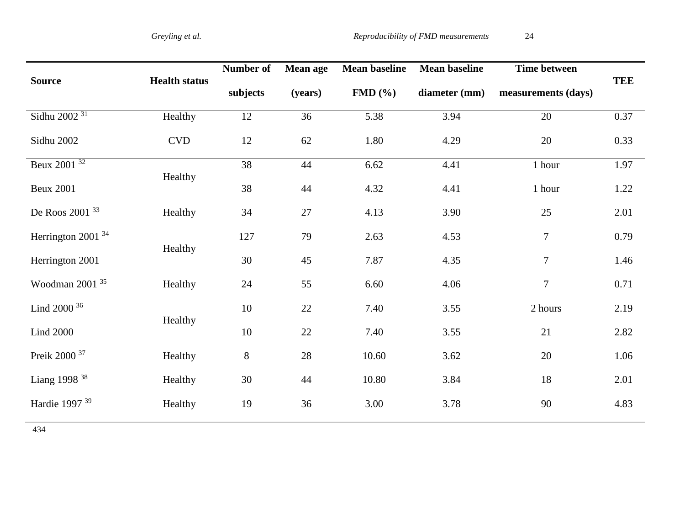|                               |                             | Number of | <b>Mean age</b> | <b>Mean baseline</b> | <b>Mean baseline</b> | <b>Time between</b> |            |
|-------------------------------|-----------------------------|-----------|-----------------|----------------------|----------------------|---------------------|------------|
| <b>Source</b>                 | <b>Health status</b>        | subjects  | (years)         | FMD(%)               | diameter (mm)        | measurements (days) | <b>TEE</b> |
| Sidhu 2002 <sup>31</sup>      | Healthy                     | 12        | 36              | 5.38                 | 3.94                 | 20                  | 0.37       |
| Sidhu 2002                    | $\ensuremath{\mathrm{CVD}}$ | 12        | 62              | 1.80                 | 4.29                 | 20                  | 0.33       |
| Beux 2001 <sup>32</sup>       |                             | 38        | 44              | 6.62                 | 4.41                 | 1 hour              | 1.97       |
| <b>Beux 2001</b>              | Healthy                     | 38        | 44              | 4.32                 | 4.41                 | 1 hour              | 1.22       |
| De Roos 2001 33               | Healthy                     | 34        | 27              | 4.13                 | 3.90                 | 25                  | 2.01       |
| Herrington 2001 <sup>34</sup> | Healthy                     | 127       | 79              | 2.63                 | 4.53                 | $\tau$              | 0.79       |
| Herrington 2001               |                             | 30        | 45              | 7.87                 | 4.35                 | $\tau$              | 1.46       |
| Woodman 2001 <sup>35</sup>    | Healthy                     | 24        | 55              | 6.60                 | 4.06                 | $\tau$              | 0.71       |
| Lind 2000 36                  | Healthy                     | 10        | $22\,$          | 7.40                 | 3.55                 | 2 hours             | 2.19       |
| <b>Lind 2000</b>              |                             | 10        | 22              | 7.40                 | 3.55                 | 21                  | 2.82       |
| Preik 2000 <sup>37</sup>      | Healthy                     | $8\,$     | $28\,$          | 10.60                | 3.62                 | 20                  | 1.06       |
| Liang 1998 $38$               | Healthy                     | 30        | 44              | 10.80                | 3.84                 | 18                  | 2.01       |
| Hardie 1997 <sup>39</sup>     | Healthy                     | 19        | 36              | 3.00                 | 3.78                 | 90                  | 4.83       |
| 434                           |                             |           |                 |                      |                      |                     |            |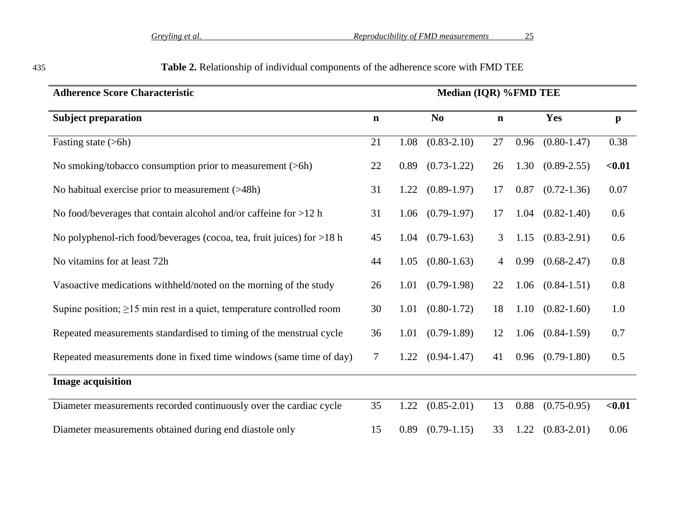| <b>Adherence Score Characteristic</b>                                       | Median (IQR) %FMD TEE |      |                        |             |      |                      |              |
|-----------------------------------------------------------------------------|-----------------------|------|------------------------|-------------|------|----------------------|--------------|
| <b>Subject preparation</b>                                                  | $\mathbf n$           |      | $\mathbf{N}\mathbf{0}$ | $\mathbf n$ |      | Yes                  | $\mathbf{p}$ |
| Fasting state (>6h)                                                         | 21                    | 1.08 | $(0.83 - 2.10)$        | 27          | 0.96 | $(0.80 - 1.47)$      | 0.38         |
| No smoking/tobacco consumption prior to measurement (>6h)                   | 22                    | 0.89 | $(0.73 - 1.22)$        | 26          | 1.30 | $(0.89 - 2.55)$      | $0.01$       |
| No habitual exercise prior to measurement (>48h)                            | 31                    | 1.22 | $(0.89-1.97)$          | 17          | 0.87 | $(0.72 - 1.36)$      | 0.07         |
| No food/beverages that contain alcohol and/or caffeine for $>12$ h          | 31                    |      | $1.06$ $(0.79-1.97)$   | 17          | 1.04 | $(0.82 - 1.40)$      | 0.6          |
| No polyphenol-rich food/beverages (cocoa, tea, fruit juices) for $>18$ h    | 45                    | 1.04 | $(0.79-1.63)$          | 3           | 1.15 | $(0.83 - 2.91)$      | 0.6          |
| No vitamins for at least 72h                                                | 44                    | 1.05 | $(0.80 - 1.63)$        | 4           | 0.99 | $(0.68 - 2.47)$      | 0.8          |
| Vasoactive medications withheld/noted on the morning of the study           | 26                    | 1.01 | $(0.79-1.98)$          | 22          |      | $1.06$ $(0.84-1.51)$ | 0.8          |
| Supine position; $\geq$ 15 min rest in a quiet, temperature controlled room | 30                    | 1.01 | $(0.80 - 1.72)$        | 18          | 1.10 | $(0.82 - 1.60)$      | 1.0          |
| Repeated measurements standardised to timing of the menstrual cycle         | 36                    | 1.01 | $(0.79-1.89)$          | 12          |      | $1.06$ $(0.84-1.59)$ | 0.7          |
| Repeated measurements done in fixed time windows (same time of day)         | $\tau$                | 1.22 | $(0.94 - 1.47)$        | 41          | 0.96 | $(0.79-1.80)$        | 0.5          |
| <b>Image acquisition</b>                                                    |                       |      |                        |             |      |                      |              |
| Diameter measurements recorded continuously over the cardiac cycle          | 35                    | 1.22 | $(0.85 - 2.01)$        | 13          | 0.88 | $(0.75 - 0.95)$      | $0.01$       |
| Diameter measurements obtained during end diastole only                     | 15                    | 0.89 | $(0.79-1.15)$          | 33          | 1.22 | $(0.83 - 2.01)$      | 0.06         |

# 435 **Table 2.** Relationship of individual components of the adherence score with FMD TEE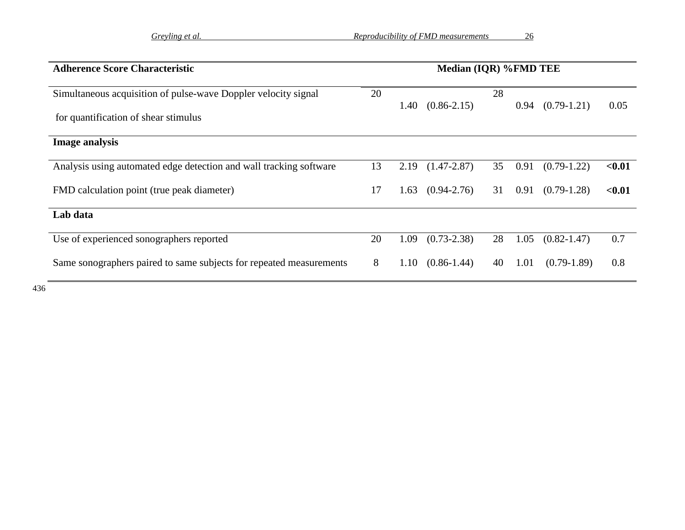| <b>Adherence Score Characteristic</b>                               | Median (IQR) %FMD TEE |      |                 |    |      |                 |        |
|---------------------------------------------------------------------|-----------------------|------|-----------------|----|------|-----------------|--------|
| Simultaneous acquisition of pulse-wave Doppler velocity signal      | 20                    | 1.40 | $(0.86 - 2.15)$ | 28 | 0.94 | $(0.79-1.21)$   | 0.05   |
| for quantification of shear stimulus                                |                       |      |                 |    |      |                 |        |
| <b>Image analysis</b>                                               |                       |      |                 |    |      |                 |        |
| Analysis using automated edge detection and wall tracking software  | 13                    | 2.19 | $(1.47 - 2.87)$ | 35 | 0.91 | $(0.79-1.22)$   | < 0.01 |
| FMD calculation point (true peak diameter)                          | 17                    | 1.63 | $(0.94 - 2.76)$ | 31 | 0.91 | $(0.79-1.28)$   | < 0.01 |
| Lab data                                                            |                       |      |                 |    |      |                 |        |
| Use of experienced sonographers reported                            | 20                    | 1.09 | $(0.73 - 2.38)$ | 28 | 1.05 | $(0.82 - 1.47)$ | 0.7    |
| Same sonographers paired to same subjects for repeated measurements | 8                     | 1.10 | $(0.86 - 1.44)$ | 40 | 1.01 | $(0.79-1.89)$   | 0.8    |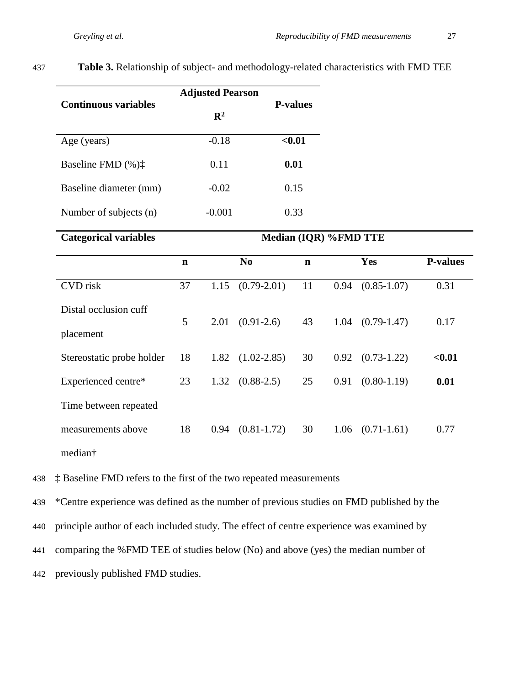| <b>Continuous variables</b> | <b>Adjusted Pearson</b> | <b>P-values</b> |
|-----------------------------|-------------------------|-----------------|
|                             | $\mathbf{R}^2$          |                 |
| Age (years)                 | $-0.18$                 | $0.01$          |
| Baseline FMD $(\%)\ddagger$ | 0.11                    | 0.01            |
| Baseline diameter (mm)      | $-0.02$                 | 0.15            |
| Number of subjects (n)      | $-0.001$                | 0.33            |

437 **Table 3.** Relationship of subject- and methodology-related characteristics with FMD TEE

| <b>Categorical variables</b>       |    | Median (IQR) %FMD TTE |                         |             |      |                      |                 |  |
|------------------------------------|----|-----------------------|-------------------------|-------------|------|----------------------|-----------------|--|
|                                    | n  |                       | N <sub>0</sub>          | $\mathbf n$ |      | Yes                  | <b>P-values</b> |  |
| CVD risk                           | 37 | 1.15                  | $(0.79 - 2.01)$         | 11          | 0.94 | $(0.85 - 1.07)$      | 0.31            |  |
| Distal occlusion cuff<br>placement | 5  | 2.01                  | $(0.91-2.6)$            | 43          | 1.04 | $(0.79-1.47)$        | 0.17            |  |
| Stereostatic probe holder          | 18 | 1.82                  | $(1.02 - 2.85)$         | 30          |      | $0.92$ $(0.73-1.22)$ | < 0.01          |  |
| Experienced centre*                | 23 |                       | $1.32 \quad (0.88-2.5)$ | 25          | 0.91 | $(0.80-1.19)$        | 0.01            |  |
| Time between repeated              |    |                       |                         |             |      |                      |                 |  |
| measurements above                 | 18 | 0.94                  | $(0.81 - 1.72)$         | 30          | 1.06 | $(0.71 - 1.61)$      | 0.77            |  |
| median†                            |    |                       |                         |             |      |                      |                 |  |

438 ‡ Baseline FMD refers to the first of the two repeated measurements

439 \*Centre experience was defined as the number of previous studies on FMD published by the

440 principle author of each included study. The effect of centre experience was examined by

441 comparing the %FMD TEE of studies below (No) and above (yes) the median number of

442 previously published FMD studies.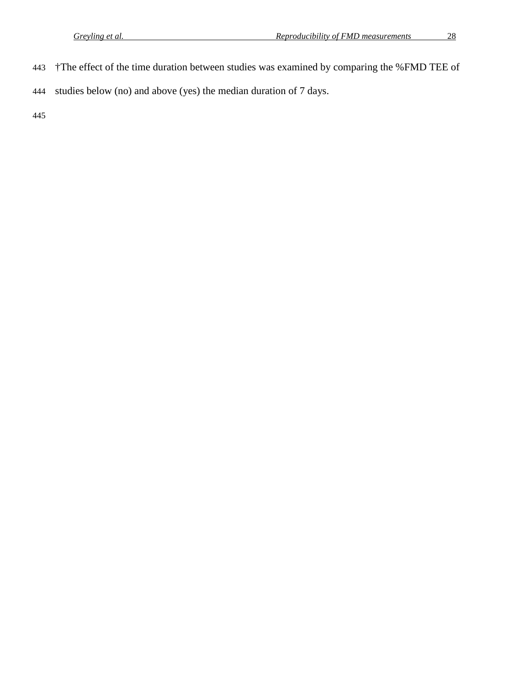- †The effect of the time duration between studies was examined by comparing the %FMD TEE of
- studies below (no) and above (yes) the median duration of 7 days.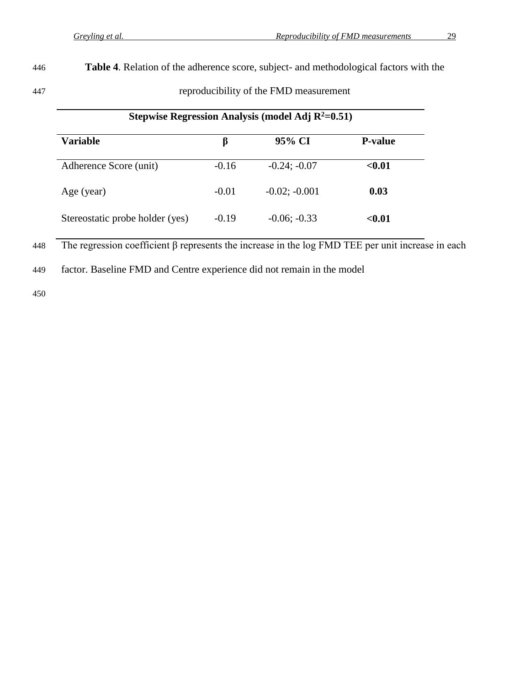446 **Table 4**. Relation of the adherence score, subject- and methodological factors with the

447 reproducibility of the FMD measurement

| Stepwise Regression Analysis (model Adj $R^2=0.51$ ) |         |                 |                |  |  |  |  |  |
|------------------------------------------------------|---------|-----------------|----------------|--|--|--|--|--|
| <b>Variable</b>                                      | β       | 95% CI          | <b>P-value</b> |  |  |  |  |  |
| Adherence Score (unit)                               | $-0.16$ | $-0.24; -0.07$  | < 0.01         |  |  |  |  |  |
| Age (year)                                           | $-0.01$ | $-0.02; -0.001$ | 0.03           |  |  |  |  |  |
| Stereostatic probe holder (yes)                      | $-0.19$ | $-0.06; -0.33$  | < 0.01         |  |  |  |  |  |

448 The regression coefficient β represents the increase in the log FMD TEE per unit increase in each

449 factor. Baseline FMD and Centre experience did not remain in the model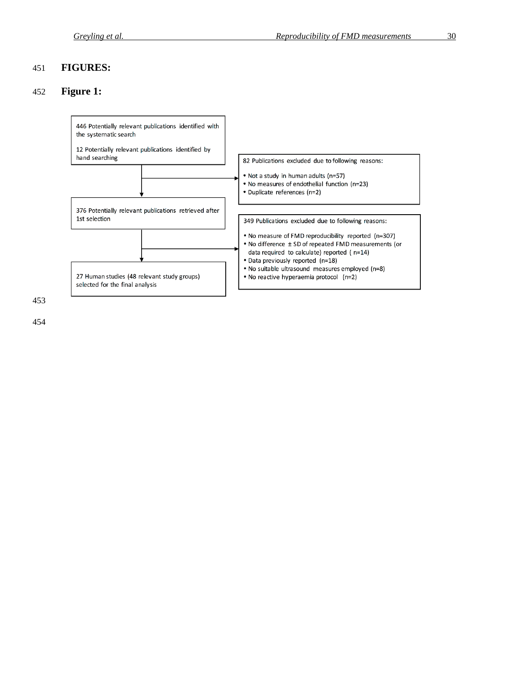# **FIGURES:**

# **Figure 1:**